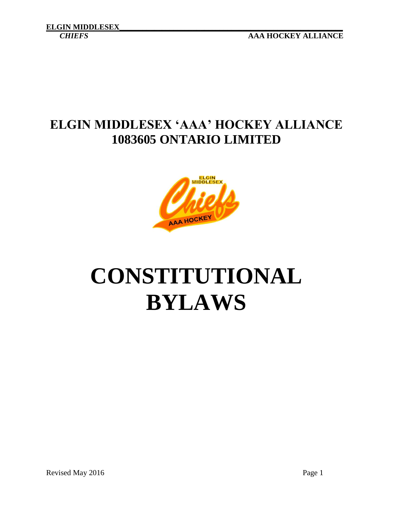*CHIEFS* **AAA HOCKEY ALLIANCE**

### **ELGIN MIDDLESEX 'AAA' HOCKEY ALLIANCE 1083605 ONTARIO LIMITED**



# **CONSTITUTIONAL BYLAWS**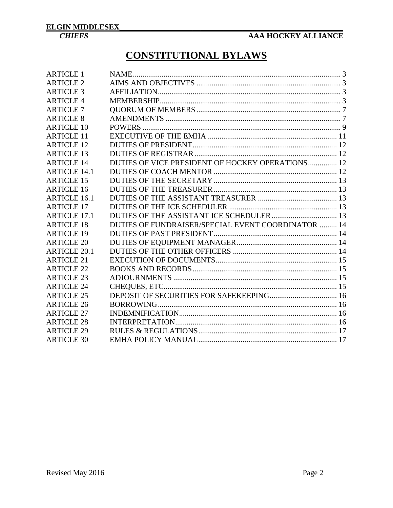### **CONSTITUTIONAL BYLAWS**

| <b>ARTICLE 1</b>    |                                                    |  |
|---------------------|----------------------------------------------------|--|
| <b>ARTICLE 2</b>    |                                                    |  |
| <b>ARTICLE 3</b>    |                                                    |  |
| <b>ARTICLE 4</b>    |                                                    |  |
| <b>ARTICLE 7</b>    |                                                    |  |
| <b>ARTICLE 8</b>    |                                                    |  |
| <b>ARTICLE 10</b>   |                                                    |  |
| <b>ARTICLE 11</b>   |                                                    |  |
| <b>ARTICLE 12</b>   |                                                    |  |
| <b>ARTICLE 13</b>   |                                                    |  |
| <b>ARTICLE 14</b>   | DUTIES OF VICE PRESIDENT OF HOCKEY OPERATIONS 12   |  |
| <b>ARTICLE 14.1</b> |                                                    |  |
| <b>ARTICLE 15</b>   |                                                    |  |
| <b>ARTICLE 16</b>   |                                                    |  |
| <b>ARTICLE 16.1</b> |                                                    |  |
| <b>ARTICLE 17</b>   |                                                    |  |
| <b>ARTICLE 17.1</b> |                                                    |  |
| <b>ARTICLE 18</b>   | DUTIES OF FUNDRAISER/SPECIAL EVENT COORDINATOR  14 |  |
| <b>ARTICLE 19</b>   |                                                    |  |
| <b>ARTICLE 20</b>   |                                                    |  |
| <b>ARTICLE 20.1</b> |                                                    |  |
| <b>ARTICLE 21</b>   |                                                    |  |
| <b>ARTICLE 22</b>   |                                                    |  |
| <b>ARTICLE 23</b>   |                                                    |  |
| <b>ARTICLE 24</b>   |                                                    |  |
| <b>ARTICLE 25</b>   |                                                    |  |
| <b>ARTICLE 26</b>   |                                                    |  |
| <b>ARTICLE 27</b>   |                                                    |  |
| <b>ARTICLE 28</b>   |                                                    |  |
| <b>ARTICLE 29</b>   |                                                    |  |
| <b>ARTICLE 30</b>   |                                                    |  |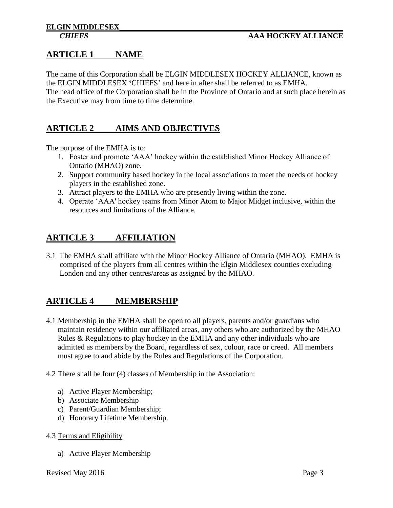#### <span id="page-2-0"></span>**ARTICLE 1 NAME**

The name of this Corporation shall be ELGIN MIDDLESEX HOCKEY ALLIANCE, known as the ELGIN MIDDLESEX **'**CHIEFS' and here in after shall be referred to as EMHA. The head office of the Corporation shall be in the Province of Ontario and at such place herein as the Executive may from time to time determine.

#### <span id="page-2-1"></span>**ARTICLE 2 AIMS AND OBJECTIVES**

The purpose of the EMHA is to:

- 1. Foster and promote 'AAA' hockey within the established Minor Hockey Alliance of Ontario (MHAO) zone.
- 2. Support community based hockey in the local associations to meet the needs of hockey players in the established zone.
- 3. Attract players to the EMHA who are presently living within the zone.
- 4. Operate 'AAA' hockey teams from Minor Atom to Major Midget inclusive, within the resources and limitations of the Alliance.

#### <span id="page-2-2"></span>**ARTICLE 3 AFFILIATION**

3.1 The EMHA shall affiliate with the Minor Hockey Alliance of Ontario (MHAO). EMHA is comprised of the players from all centres within the Elgin Middlesex counties excluding London and any other centres/areas as assigned by the MHAO.

#### <span id="page-2-3"></span>**ARTICLE 4 MEMBERSHIP**

- 4.1 Membership in the EMHA shall be open to all players, parents and/or guardians who maintain residency within our affiliated areas, any others who are authorized by the MHAO Rules & Regulations to play hockey in the EMHA and any other individuals who are admitted as members by the Board, regardless of sex, colour, race or creed. All members must agree to and abide by the Rules and Regulations of the Corporation.
- 4.2 There shall be four (4) classes of Membership in the Association:
	- a) Active Player Membership;
	- b) Associate Membership
	- c) Parent/Guardian Membership;
	- d) Honorary Lifetime Membership.
- 4.3 Terms and Eligibility
	- a) Active Player Membership

Revised May 2016 Page 3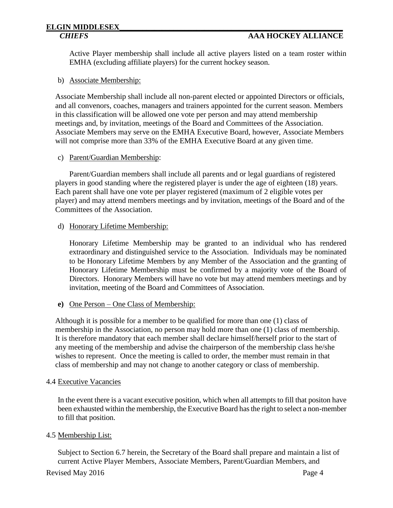## **ELGIN MIDDLESEX\_\_\_\_\_\_\_\_\_\_\_\_\_\_\_\_\_\_\_\_\_\_\_\_\_\_\_\_\_\_\_\_\_\_\_\_\_\_\_\_\_\_\_\_\_\_\_\_\_\_\_\_\_\_\_\_\_\_**

Active Player membership shall include all active players listed on a team roster within EMHA (excluding affiliate players) for the current hockey season.

#### b) Associate Membership:

Associate Membership shall include all non-parent elected or appointed Directors or officials, and all convenors, coaches, managers and trainers appointed for the current season. Members in this classification will be allowed one vote per person and may attend membership meetings and, by invitation, meetings of the Board and Committees of the Association. Associate Members may serve on the EMHA Executive Board, however, Associate Members will not comprise more than 33% of the EMHA Executive Board at any given time.

#### c) Parent/Guardian Membership:

Parent/Guardian members shall include all parents and or legal guardians of registered players in good standing where the registered player is under the age of eighteen (18) years. Each parent shall have one vote per player registered (maximum of 2 eligible votes per player) and may attend members meetings and by invitation, meetings of the Board and of the Committees of the Association.

#### d) Honorary Lifetime Membership:

Honorary Lifetime Membership may be granted to an individual who has rendered extraordinary and distinguished service to the Association. Individuals may be nominated to be Honorary Lifetime Members by any Member of the Association and the granting of Honorary Lifetime Membership must be confirmed by a majority vote of the Board of Directors. Honorary Members will have no vote but may attend members meetings and by invitation, meeting of the Board and Committees of Association.

**e)** One Person – One Class of Membership:

Although it is possible for a member to be qualified for more than one (1) class of membership in the Association, no person may hold more than one (1) class of membership. It is therefore mandatory that each member shall declare himself/herself prior to the start of any meeting of the membership and advise the chairperson of the membership class he/she wishes to represent. Once the meeting is called to order, the member must remain in that class of membership and may not change to another category or class of membership.

#### 4.4 Executive Vacancies

In the event there is a vacant executive position, which when all attempts to fill that positon have been exhausted within the membership, the Executive Board has the right to select a non-member to fill that position.

#### 4.5 Membership List:

Subject to Section 6.7 herein, the Secretary of the Board shall prepare and maintain a list of current Active Player Members, Associate Members, Parent/Guardian Members, and

Revised May 2016 Page 4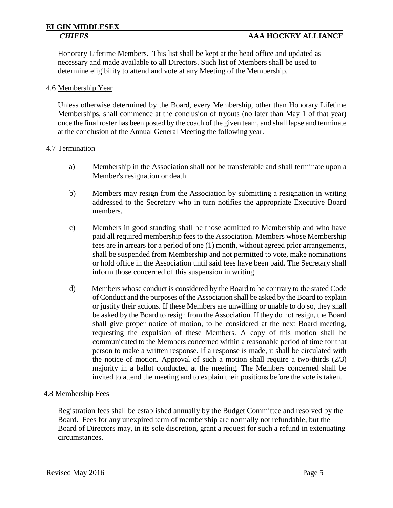### **ELGIN MIDDLESEX\_\_\_\_\_\_\_\_\_\_\_\_\_\_\_\_\_\_\_\_\_\_\_\_\_\_\_\_\_\_\_\_\_\_\_\_\_\_\_\_\_\_\_\_\_\_\_\_\_\_\_\_\_\_\_\_\_\_**

#### *CHIEFS* **AAA HOCKEY ALLIANCE**

Honorary Lifetime Members. This list shall be kept at the head office and updated as necessary and made available to all Directors. Such list of Members shall be used to determine eligibility to attend and vote at any Meeting of the Membership.

#### 4.6 Membership Year

Unless otherwise determined by the Board, every Membership, other than Honorary Lifetime Memberships, shall commence at the conclusion of tryouts (no later than May 1 of that year) once the final roster has been posted by the coach of the given team, and shall lapse and terminate at the conclusion of the Annual General Meeting the following year.

#### 4.7 Termination

- a) Membership in the Association shall not be transferable and shall terminate upon a Member's resignation or death.
- b) Members may resign from the Association by submitting a resignation in writing addressed to the Secretary who in turn notifies the appropriate Executive Board members.
- c) Members in good standing shall be those admitted to Membership and who have paid all required membership fees to the Association. Members whose Membership fees are in arrears for a period of one (1) month, without agreed prior arrangements, shall be suspended from Membership and not permitted to vote, make nominations or hold office in the Association until said fees have been paid. The Secretary shall inform those concerned of this suspension in writing.
- d) Members whose conduct is considered by the Board to be contrary to the stated Code of Conduct and the purposes of the Association shall be asked by the Board to explain or justify their actions. If these Members are unwilling or unable to do so, they shall be asked by the Board to resign from the Association. If they do not resign, the Board shall give proper notice of motion, to be considered at the next Board meeting, requesting the expulsion of these Members. A copy of this motion shall be communicated to the Members concerned within a reasonable period of time for that person to make a written response. If a response is made, it shall be circulated with the notice of motion. Approval of such a motion shall require a two-thirds (2/3) majority in a ballot conducted at the meeting. The Members concerned shall be invited to attend the meeting and to explain their positions before the vote is taken.

#### 4.8 Membership Fees

Registration fees shall be established annually by the Budget Committee and resolved by the Board. Fees for any unexpired term of membership are normally not refundable, but the Board of Directors may, in its sole discretion, grant a request for such a refund in extenuating circumstances.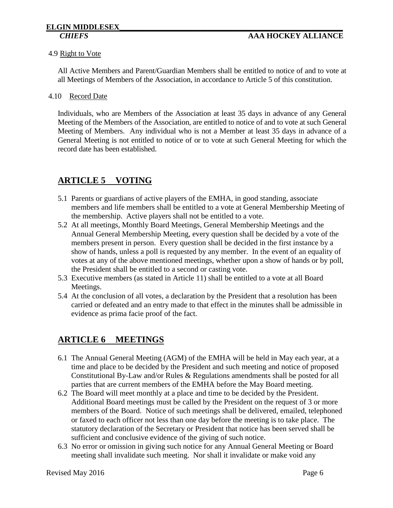#### 4.9 Right to Vote

All Active Members and Parent/Guardian Members shall be entitled to notice of and to vote at all Meetings of Members of the Association, in accordance to Article 5 of this constitution.

#### 4.10 Record Date

Individuals, who are Members of the Association at least 35 days in advance of any General Meeting of the Members of the Association, are entitled to notice of and to vote at such General Meeting of Members. Any individual who is not a Member at least 35 days in advance of a General Meeting is not entitled to notice of or to vote at such General Meeting for which the record date has been established.

#### **ARTICLE 5 VOTING**

- 5.1 Parents or guardians of active players of the EMHA, in good standing, associate members and life members shall be entitled to a vote at General Membership Meeting of the membership. Active players shall not be entitled to a vote.
- 5.2 At all meetings, Monthly Board Meetings, General Membership Meetings and the Annual General Membership Meeting, every question shall be decided by a vote of the members present in person. Every question shall be decided in the first instance by a show of hands, unless a poll is requested by any member. In the event of an equality of votes at any of the above mentioned meetings, whether upon a show of hands or by poll, the President shall be entitled to a second or casting vote.
- 5.3 Executive members (as stated in Article 11) shall be entitled to a vote at all Board Meetings.
- 5.4 At the conclusion of all votes, a declaration by the President that a resolution has been carried or defeated and an entry made to that effect in the minutes shall be admissible in evidence as prima facie proof of the fact.

#### **ARTICLE 6 MEETINGS**

- 6.1 The Annual General Meeting (AGM) of the EMHA will be held in May each year, at a time and place to be decided by the President and such meeting and notice of proposed Constitutional By-Law and/or Rules & Regulations amendments shall be posted for all parties that are current members of the EMHA before the May Board meeting.
- 6.2 The Board will meet monthly at a place and time to be decided by the President. Additional Board meetings must be called by the President on the request of 3 or more members of the Board. Notice of such meetings shall be delivered, emailed, telephoned or faxed to each officer not less than one day before the meeting is to take place. The statutory declaration of the Secretary or President that notice has been served shall be sufficient and conclusive evidence of the giving of such notice.
- 6.3 No error or omission in giving such notice for any Annual General Meeting or Board meeting shall invalidate such meeting. Nor shall it invalidate or make void any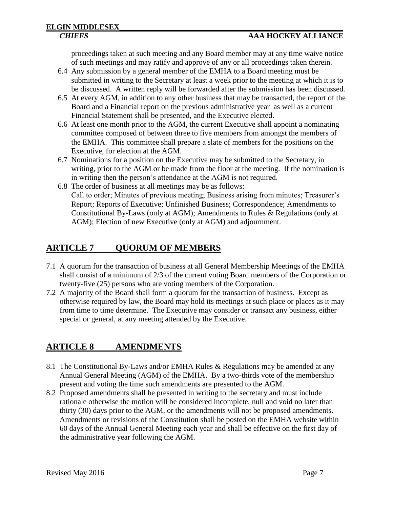proceedings taken at such meeting and any Board member may at any time waive notice of such meetings and may ratify and approve of any or all proceedings taken therein.

- 6.4 Any submission by a general member of the EMHA to a Board meeting must be submitted in writing to the Secretary at least a week prior to the meeting at which it is to be discussed. A written reply will be forwarded after the submission has been discussed.
- 6.5 At every AGM, in addition to any other business that may be transacted, the report of the Board and a Financial report on the previous administrative year as well as a current Financial Statement shall be presented, and the Executive elected.
- 6.6 At least one month prior to the AGM, the current Executive shall appoint a nominating committee composed of between three to five members from amongst the members of the EMHA. This committee shall prepare a slate of members for the positions on the Executive, for election at the AGM.
- 6.7 Nominations for a position on the Executive may be submitted to the Secretary, in writing, prior to the AGM or be made from the floor at the meeting. If the nomination is in writing then the person's attendance at the AGM is not required.
- 6.8 The order of business at all meetings may be as follows: Call to order; Minutes of previous meeting; Business arising from minutes; Treasurer's Report; Reports of Executive; Unfinished Business; Correspondence; Amendments to Constitutional By-Laws (only at AGM); Amendments to Rules & Regulations (only at AGM); Election of new Executive (only at AGM) and adjournment.

### <span id="page-6-0"></span>**ARTICLE 7 QUORUM OF MEMBERS**

- 7.1 A quorum for the transaction of business at all General Membership Meetings of the EMHA shall consist of a minimum of 2/3 of the current voting Board members of the Corporation or twenty-five (25) persons who are voting members of the Corporation.
- 7.2 A majority of the Board shall form a quorum for the transaction of business. Except as otherwise required by law, the Board may hold its meetings at such place or places as it may from time to time determine. The Executive may consider or transact any business, either special or general, at any meeting attended by the Executive.

### <span id="page-6-1"></span>**ARTICLE 8 AMENDMENTS**

- 8.1 The Constitutional By-Laws and/or EMHA Rules & Regulations may be amended at any Annual General Meeting (AGM) of the EMHA. By a two-thirds vote of the membership present and voting the time such amendments are presented to the AGM.
- 8.2 Proposed amendments shall be presented in writing to the secretary and must include rationale otherwise the motion will be considered incomplete, null and void no later than thirty (30) days prior to the AGM, or the amendments will not be proposed amendments. Amendments or revisions of the Constitution shall be posted on the EMHA website within 60 days of the Annual General Meeting each year and shall be effective on the first day of the administrative year following the AGM.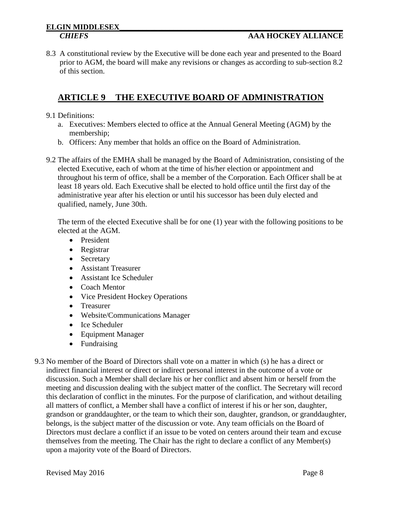8.3 A constitutional review by the Executive will be done each year and presented to the Board prior to AGM, the board will make any revisions or changes as according to sub-section 8.2 of this section.

#### **ARTICLE 9 THE EXECUTIVE BOARD OF ADMINISTRATION**

- 9.1 Definitions:
	- a. Executives: Members elected to office at the Annual General Meeting (AGM) by the membership;
	- b. Officers: Any member that holds an office on the Board of Administration.
- 9.2 The affairs of the EMHA shall be managed by the Board of Administration, consisting of the elected Executive, each of whom at the time of his/her election or appointment and throughout his term of office, shall be a member of the Corporation. Each Officer shall be at least 18 years old. Each Executive shall be elected to hold office until the first day of the administrative year after his election or until his successor has been duly elected and qualified, namely, June 30th.

The term of the elected Executive shall be for one (1) year with the following positions to be elected at the AGM.

- President
- Registrar
- Secretary
- Assistant Treasurer
- Assistant Ice Scheduler
- Coach Mentor
- Vice President Hockey Operations
- Treasurer
- Website/Communications Manager
- Ice Scheduler
- Equipment Manager
- Fundraising
- 9.3 No member of the Board of Directors shall vote on a matter in which (s) he has a direct or indirect financial interest or direct or indirect personal interest in the outcome of a vote or discussion. Such a Member shall declare his or her conflict and absent him or herself from the meeting and discussion dealing with the subject matter of the conflict. The Secretary will record this declaration of conflict in the minutes. For the purpose of clarification, and without detailing all matters of conflict, a Member shall have a conflict of interest if his or her son, daughter, grandson or granddaughter, or the team to which their son, daughter, grandson, or granddaughter, belongs, is the subject matter of the discussion or vote. Any team officials on the Board of Directors must declare a conflict if an issue to be voted on centers around their team and excuse themselves from the meeting. The Chair has the right to declare a conflict of any Member(s) upon a majority vote of the Board of Directors.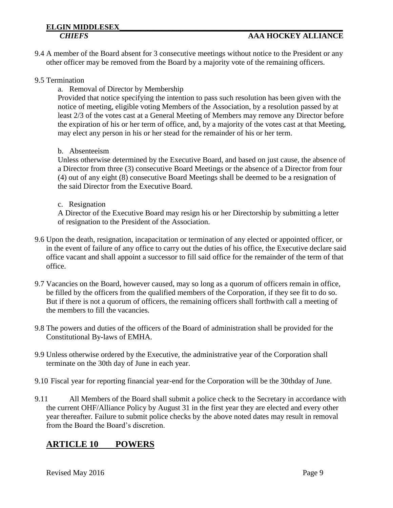## **ELGIN MIDDLESEX\_\_\_\_\_\_\_\_\_\_\_\_\_\_\_\_\_\_\_\_\_\_\_\_\_\_\_\_\_\_\_\_\_\_\_\_\_\_\_\_\_\_\_\_\_\_\_\_\_\_\_\_\_\_\_\_\_\_**

9.4 A member of the Board absent for 3 consecutive meetings without notice to the President or any other officer may be removed from the Board by a majority vote of the remaining officers.

#### 9.5 Termination

a. Removal of Director by Membership

Provided that notice specifying the intention to pass such resolution has been given with the notice of meeting, eligible voting Members of the Association, by a resolution passed by at least 2/3 of the votes cast at a General Meeting of Members may remove any Director before the expiration of his or her term of office, and, by a majority of the votes cast at that Meeting, may elect any person in his or her stead for the remainder of his or her term.

#### b. Absenteeism

Unless otherwise determined by the Executive Board, and based on just cause, the absence of a Director from three (3) consecutive Board Meetings or the absence of a Director from four (4) out of any eight (8) consecutive Board Meetings shall be deemed to be a resignation of the said Director from the Executive Board.

#### c. Resignation

A Director of the Executive Board may resign his or her Directorship by submitting a letter of resignation to the President of the Association.

- 9.6 Upon the death, resignation, incapacitation or termination of any elected or appointed officer, or in the event of failure of any office to carry out the duties of his office, the Executive declare said office vacant and shall appoint a successor to fill said office for the remainder of the term of that office.
- 9.7 Vacancies on the Board, however caused, may so long as a quorum of officers remain in office, be filled by the officers from the qualified members of the Corporation, if they see fit to do so. But if there is not a quorum of officers, the remaining officers shall forthwith call a meeting of the members to fill the vacancies.
- 9.8 The powers and duties of the officers of the Board of administration shall be provided for the Constitutional By-laws of EMHA.
- 9.9 Unless otherwise ordered by the Executive, the administrative year of the Corporation shall terminate on the 30th day of June in each year.
- 9.10 Fiscal year for reporting financial year-end for the Corporation will be the 30thday of June.
- 9.11 All Members of the Board shall submit a police check to the Secretary in accordance with the current OHF/Alliance Policy by August 31 in the first year they are elected and every other year thereafter. Failure to submit police checks by the above noted dates may result in removal from the Board the Board's discretion.

#### <span id="page-8-0"></span>**ARTICLE 10 POWERS**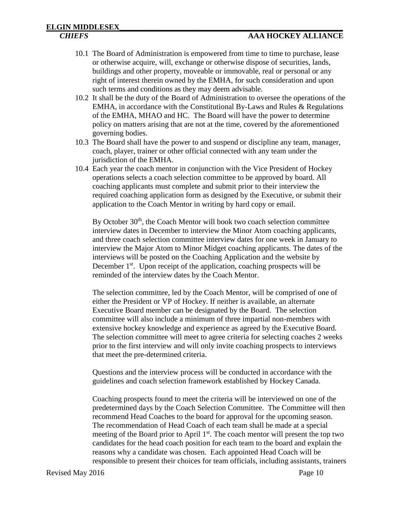- 10.1 The Board of Administration is empowered from time to time to purchase, lease or otherwise acquire, will, exchange or otherwise dispose of securities, lands, buildings and other property, moveable or immovable, real or personal or any right of interest therein owned by the EMHA, for such consideration and upon such terms and conditions as they may deem advisable.
- 10.2 It shall be the duty of the Board of Administration to oversee the operations of the EMHA, in accordance with the Constitutional By-Laws and Rules & Regulations of the EMHA, MHAO and HC. The Board will have the power to determine policy on matters arising that are not at the time, covered by the aforementioned governing bodies.
- 10.3 The Board shall have the power to and suspend or discipline any team, manager, coach, player, trainer or other official connected with any team under the jurisdiction of the EMHA.
- 10.4 Each year the coach mentor in conjunction with the Vice President of Hockey operations selects a coach selection committee to be approved by board. All coaching applicants must complete and submit prior to their interview the required coaching application form as designed by the Executive, or submit their application to the Coach Mentor in writing by hard copy or email.

By October 30<sup>th</sup>, the Coach Mentor will book two coach selection committee interview dates in December to interview the Minor Atom coaching applicants, and three coach selection committee interview dates for one week in January to interview the Major Atom to Minor Midget coaching applicants. The dates of the interviews will be posted on the Coaching Application and the website by December 1<sup>st</sup>. Upon receipt of the application, coaching prospects will be reminded of the interview dates by the Coach Mentor.

The selection committee, led by the Coach Mentor, will be comprised of one of either the President or VP of Hockey. If neither is available, an alternate Executive Board member can be designated by the Board. The selection committee will also include a minimum of three impartial non-members with extensive hockey knowledge and experience as agreed by the Executive Board. The selection committee will meet to agree criteria for selecting coaches 2 weeks prior to the first interview and will only invite coaching prospects to interviews that meet the pre-determined criteria.

Questions and the interview process will be conducted in accordance with the guidelines and coach selection framework established by Hockey Canada.

Coaching prospects found to meet the criteria will be interviewed on one of the predetermined days by the Coach Selection Committee. The Committee will then recommend Head Coaches to the board for approval for the upcoming season. The recommendation of Head Coach of each team shall be made at a special meeting of the Board prior to April  $1<sup>st</sup>$ . The coach mentor will present the top two candidates for the head coach position for each team to the board and explain the reasons why a candidate was chosen. Each appointed Head Coach will be responsible to present their choices for team officials, including assistants, trainers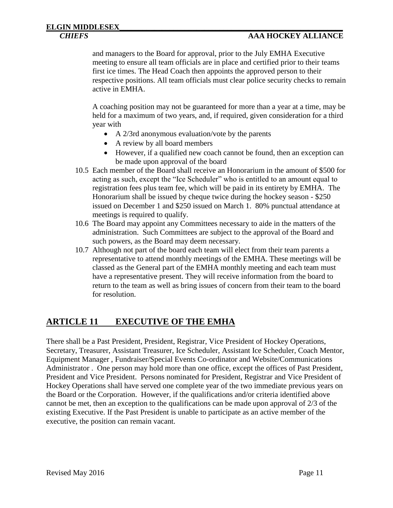#### *CHIEFS* **AAA HOCKEY ALLIANCE**

and managers to the Board for approval, prior to the July EMHA Executive meeting to ensure all team officials are in place and certified prior to their teams first ice times. The Head Coach then appoints the approved person to their respective positions. All team officials must clear police security checks to remain active in EMHA.

A coaching position may not be guaranteed for more than a year at a time, may be held for a maximum of two years, and, if required, given consideration for a third year with

- A 2/3rd anonymous evaluation/vote by the parents
- A review by all board members
- However, if a qualified new coach cannot be found, then an exception can be made upon approval of the board
- 10.5 Each member of the Board shall receive an Honorarium in the amount of \$500 for acting as such, except the "Ice Scheduler" who is entitled to an amount equal to registration fees plus team fee, which will be paid in its entirety by EMHA. The Honorarium shall be issued by cheque twice during the hockey season - \$250 issued on December 1 and \$250 issued on March 1. 80% punctual attendance at meetings is required to qualify.
- 10.6 The Board may appoint any Committees necessary to aide in the matters of the administration. Such Committees are subject to the approval of the Board and such powers, as the Board may deem necessary.
- 10.7 Although not part of the board each team will elect from their team parents a representative to attend monthly meetings of the EMHA. These meetings will be classed as the General part of the EMHA monthly meeting and each team must have a representative present. They will receive information from the board to return to the team as well as bring issues of concern from their team to the board for resolution.

#### <span id="page-10-0"></span>**ARTICLE 11 EXECUTIVE OF THE EMHA**

There shall be a Past President, President, Registrar, Vice President of Hockey Operations, Secretary, Treasurer, Assistant Treasurer, Ice Scheduler, Assistant Ice Scheduler, Coach Mentor, Equipment Manager , Fundraiser/Special Events Co-ordinator and Website/Communications Administrator . One person may hold more than one office, except the offices of Past President, President and Vice President. Persons nominated for President, Registrar and Vice President of Hockey Operations shall have served one complete year of the two immediate previous years on the Board or the Corporation. However, if the qualifications and/or criteria identified above cannot be met, then an exception to the qualifications can be made upon approval of 2/3 of the existing Executive. If the Past President is unable to participate as an active member of the executive, the position can remain vacant.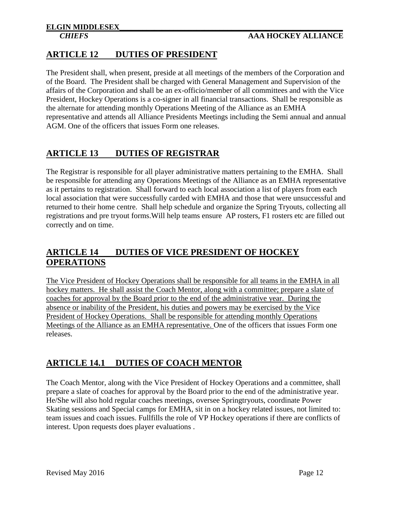#### <span id="page-11-0"></span>**ARTICLE 12 DUTIES OF PRESIDENT**

The President shall, when present, preside at all meetings of the members of the Corporation and of the Board. The President shall be charged with General Management and Supervision of the affairs of the Corporation and shall be an ex-officio/member of all committees and with the Vice President, Hockey Operations is a co-signer in all financial transactions. Shall be responsible as the alternate for attending monthly Operations Meeting of the Alliance as an EMHA representative and attends all Alliance Presidents Meetings including the Semi annual and annual AGM. One of the officers that issues Form one releases.

#### <span id="page-11-1"></span>**ARTICLE 13 DUTIES OF REGISTRAR**

The Registrar is responsible for all player administrative matters pertaining to the EMHA. Shall be responsible for attending any Operations Meetings of the Alliance as an EMHA representative as it pertains to registration. Shall forward to each local association a list of players from each local association that were successfully carded with EMHA and those that were unsuccessful and returned to their home centre. Shall help schedule and organize the Spring Tryouts, collecting all registrations and pre tryout forms.Will help teams ensure AP rosters, F1 rosters etc are filled out correctly and on time.

#### <span id="page-11-2"></span>**ARTICLE 14 DUTIES OF VICE PRESIDENT OF HOCKEY OPERATIONS**

The Vice President of Hockey Operations shall be responsible for all teams in the EMHA in all hockey matters. He shall assist the Coach Mentor, along with a committee; prepare a slate of coaches for approval by the Board prior to the end of the administrative year. During the absence or inability of the President, his duties and powers may be exercised by the Vice President of Hockey Operations. Shall be responsible for attending monthly Operations Meetings of the Alliance as an EMHA representative. One of the officers that issues Form one releases.

### <span id="page-11-3"></span>**ARTICLE 14.1 DUTIES OF COACH MENTOR**

The Coach Mentor, along with the Vice President of Hockey Operations and a committee, shall prepare a slate of coaches for approval by the Board prior to the end of the administrative year. He/She will also hold regular coaches meetings, oversee Springtryouts, coordinate Power Skating sessions and Special camps for EMHA, sit in on a hockey related issues, not limited to: team issues and coach issues. Fullfills the role of VP Hockey operations if there are conflicts of interest. Upon requests does player evaluations .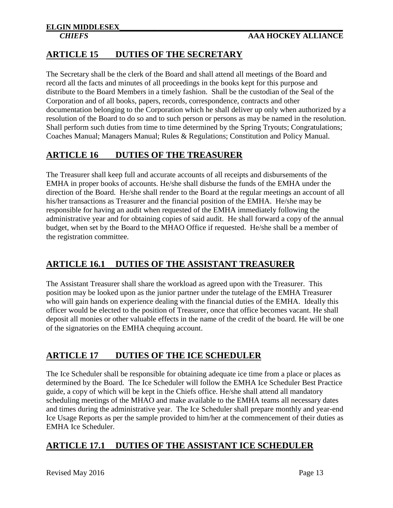#### <span id="page-12-0"></span>**ARTICLE 15 DUTIES OF THE SECRETARY**

The Secretary shall be the clerk of the Board and shall attend all meetings of the Board and record all the facts and minutes of all proceedings in the books kept for this purpose and distribute to the Board Members in a timely fashion. Shall be the custodian of the Seal of the Corporation and of all books, papers, records, correspondence, contracts and other documentation belonging to the Corporation which he shall deliver up only when authorized by a resolution of the Board to do so and to such person or persons as may be named in the resolution. Shall perform such duties from time to time determined by the Spring Tryouts; Congratulations; Coaches Manual; Managers Manual; Rules & Regulations; Constitution and Policy Manual.

#### <span id="page-12-1"></span>**ARTICLE 16 DUTIES OF THE TREASURER**

The Treasurer shall keep full and accurate accounts of all receipts and disbursements of the EMHA in proper books of accounts. He/she shall disburse the funds of the EMHA under the direction of the Board. He/she shall render to the Board at the regular meetings an account of all his/her transactions as Treasurer and the financial position of the EMHA. He/she may be responsible for having an audit when requested of the EMHA immediately following the administrative year and for obtaining copies of said audit. He shall forward a copy of the annual budget, when set by the Board to the MHAO Office if requested. He/she shall be a member of the registration committee.

#### <span id="page-12-2"></span>**ARTICLE 16.1 DUTIES OF THE ASSISTANT TREASURER**

The Assistant Treasurer shall share the workload as agreed upon with the Treasurer. This position may be looked upon as the junior partner under the tutelage of the EMHA Treasurer who will gain hands on experience dealing with the financial duties of the EMHA. Ideally this officer would be elected to the position of Treasurer, once that office becomes vacant. He shall deposit all monies or other valuable effects in the name of the credit of the board. He will be one of the signatories on the EMHA chequing account.

### <span id="page-12-3"></span>**ARTICLE 17 DUTIES OF THE ICE SCHEDULER**

The Ice Scheduler shall be responsible for obtaining adequate ice time from a place or places as determined by the Board. The Ice Scheduler will follow the EMHA Ice Scheduler Best Practice guide, a copy of which will be kept in the Chiefs office. He/she shall attend all mandatory scheduling meetings of the MHAO and make available to the EMHA teams all necessary dates and times during the administrative year. The Ice Scheduler shall prepare monthly and year-end Ice Usage Reports as per the sample provided to him/her at the commencement of their duties as EMHA Ice Scheduler.

#### <span id="page-12-4"></span>**ARTICLE 17.1 DUTIES OF THE ASSISTANT ICE SCHEDULER**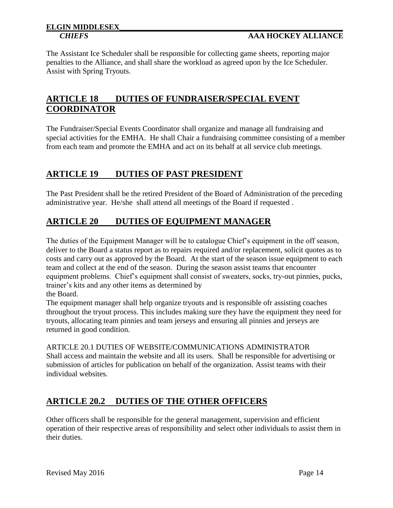#### *CHIEFS* **AAA HOCKEY ALLIANCE**

The Assistant Ice Scheduler shall be responsible for collecting game sheets, reporting major penalties to the Alliance, and shall share the workload as agreed upon by the Ice Scheduler. Assist with Spring Tryouts.

#### <span id="page-13-0"></span>**ARTICLE 18 DUTIES OF FUNDRAISER/SPECIAL EVENT COORDINATOR**

The Fundraiser/Special Events Coordinator shall organize and manage all fundraising and special activities for the EMHA. He shall Chair a fundraising committee consisting of a member from each team and promote the EMHA and act on its behalf at all service club meetings.

#### <span id="page-13-1"></span>**ARTICLE 19 DUTIES OF PAST PRESIDENT**

The Past President shall be the retired President of the Board of Administration of the preceding administrative year. He/she shall attend all meetings of the Board if requested .

#### <span id="page-13-2"></span>**ARTICLE 20 DUTIES OF EQUIPMENT MANAGER**

The duties of the Equipment Manager will be to catalogue Chief's equipment in the off season, deliver to the Board a status report as to repairs required and/or replacement, solicit quotes as to costs and carry out as approved by the Board. At the start of the season issue equipment to each team and collect at the end of the season. During the season assist teams that encounter equipment problems. Chief's equipment shall consist of sweaters, socks, try-out pinnies, pucks, trainer's kits and any other items as determined by

the Board.

The equipment manager shall help organize tryouts and is responsible ofr assisting coaches throughout the tryout process. This includes making sure they have the equipment they need for tryouts, allocating team pinnies and team jerseys and ensuring all pinnies and jerseys are returned in good condition.

ARTICLE 20.1 DUTIES OF WEBSITE/COMMUNICATIONS ADMINISTRATOR Shall access and maintain the website and all its users. Shall be responsible for advertising or submission of articles for publication on behalf of the organization. Assist teams with their individual websites.

### <span id="page-13-3"></span>**ARTICLE 20.2 DUTIES OF THE OTHER OFFICERS**

Other officers shall be responsible for the general management, supervision and efficient operation of their respective areas of responsibility and select other individuals to assist them in their duties.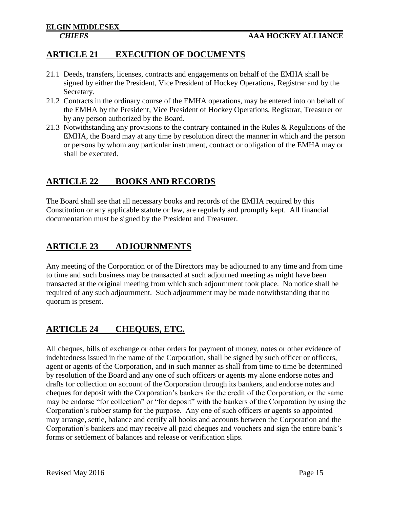#### <span id="page-14-0"></span>**ARTICLE 21 EXECUTION OF DOCUMENTS**

- 21.1 Deeds, transfers, licenses, contracts and engagements on behalf of the EMHA shall be signed by either the President, Vice President of Hockey Operations, Registrar and by the Secretary.
- 21.2 Contracts in the ordinary course of the EMHA operations, may be entered into on behalf of the EMHA by the President, Vice President of Hockey Operations, Registrar, Treasurer or by any person authorized by the Board.
- 21.3 Notwithstanding any provisions to the contrary contained in the Rules & Regulations of the EMHA, the Board may at any time by resolution direct the manner in which and the person or persons by whom any particular instrument, contract or obligation of the EMHA may or shall be executed.

#### <span id="page-14-1"></span>**ARTICLE 22 BOOKS AND RECORDS**

The Board shall see that all necessary books and records of the EMHA required by this Constitution or any applicable statute or law, are regularly and promptly kept. All financial documentation must be signed by the President and Treasurer.

### <span id="page-14-2"></span>**ARTICLE 23 ADJOURNMENTS**

Any meeting of the Corporation or of the Directors may be adjourned to any time and from time to time and such business may be transacted at such adjourned meeting as might have been transacted at the original meeting from which such adjournment took place. No notice shall be required of any such adjournment. Such adjournment may be made notwithstanding that no quorum is present.

### <span id="page-14-3"></span>**ARTICLE 24 CHEQUES, ETC.**

All cheques, bills of exchange or other orders for payment of money, notes or other evidence of indebtedness issued in the name of the Corporation, shall be signed by such officer or officers, agent or agents of the Corporation, and in such manner as shall from time to time be determined by resolution of the Board and any one of such officers or agents my alone endorse notes and drafts for collection on account of the Corporation through its bankers, and endorse notes and cheques for deposit with the Corporation's bankers for the credit of the Corporation, or the same may be endorse "for collection" or "for deposit" with the bankers of the Corporation by using the Corporation's rubber stamp for the purpose. Any one of such officers or agents so appointed may arrange, settle, balance and certify all books and accounts between the Corporation and the Corporation's bankers and may receive all paid cheques and vouchers and sign the entire bank's forms or settlement of balances and release or verification slips.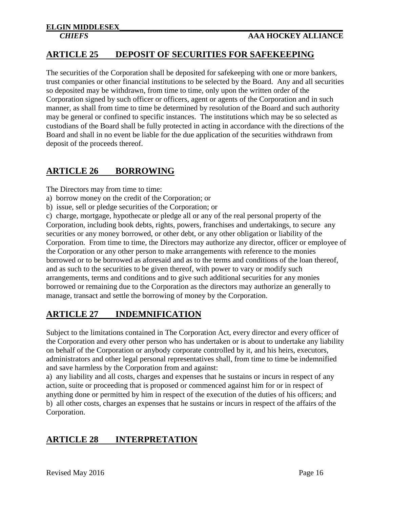#### <span id="page-15-0"></span>**ARTICLE 25 DEPOSIT OF SECURITIES FOR SAFEKEEPING**

The securities of the Corporation shall be deposited for safekeeping with one or more bankers, trust companies or other financial institutions to be selected by the Board. Any and all securities so deposited may be withdrawn, from time to time, only upon the written order of the Corporation signed by such officer or officers, agent or agents of the Corporation and in such manner, as shall from time to time be determined by resolution of the Board and such authority may be general or confined to specific instances. The institutions which may be so selected as custodians of the Board shall be fully protected in acting in accordance with the directions of the Board and shall in no event be liable for the due application of the securities withdrawn from deposit of the proceeds thereof.

#### <span id="page-15-1"></span>**ARTICLE 26 BORROWING**

The Directors may from time to time:

- a) borrow money on the credit of the Corporation; or
- b) issue, sell or pledge securities of the Corporation; or

c) charge, mortgage, hypothecate or pledge all or any of the real personal property of the Corporation, including book debts, rights, powers, franchises and undertakings, to secure any securities or any money borrowed, or other debt, or any other obligation or liability of the Corporation. From time to time, the Directors may authorize any director, officer or employee of the Corporation or any other person to make arrangements with reference to the monies borrowed or to be borrowed as aforesaid and as to the terms and conditions of the loan thereof, and as such to the securities to be given thereof, with power to vary or modify such arrangements, terms and conditions and to give such additional securities for any monies borrowed or remaining due to the Corporation as the directors may authorize an generally to manage, transact and settle the borrowing of money by the Corporation.

### <span id="page-15-2"></span>**ARTICLE 27 INDEMNIFICATION**

Subject to the limitations contained in The Corporation Act, every director and every officer of the Corporation and every other person who has undertaken or is about to undertake any liability on behalf of the Corporation or anybody corporate controlled by it, and his heirs, executors, administrators and other legal personal representatives shall, from time to time be indemnified and save harmless by the Corporation from and against:

a) any liability and all costs, charges and expenses that he sustains or incurs in respect of any action, suite or proceeding that is proposed or commenced against him for or in respect of anything done or permitted by him in respect of the execution of the duties of his officers; and b) all other costs, charges an expenses that he sustains or incurs in respect of the affairs of the Corporation.

### <span id="page-15-3"></span>**ARTICLE 28 INTERPRETATION**